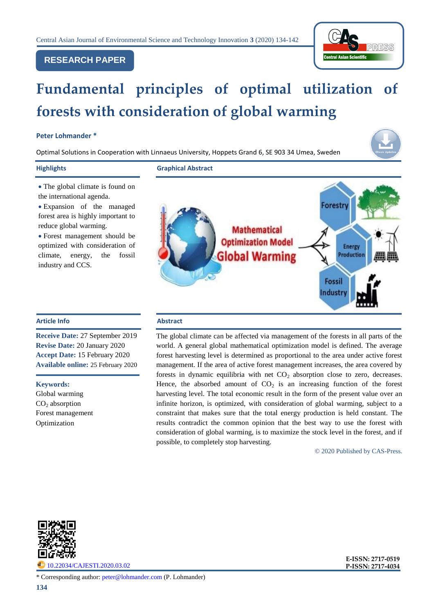# **RESEARCH PAPER**



# **Fundamental principles of optimal utilization of forests with consideration of global warming**

## **Peter Lohmander \***

Optimal Solutions in Cooperation with Linnaeus University, Hoppets Grand 6, SE 903 34 Umea, Sweden



**Highlights Graphical Abstract**

- The global climate is found on the international agenda.
- Expansion of the managed forest area is highly important to reduce global warming.

 Forest management should be optimized with consideration of climate, energy, the fossil industry and CCS.

# **Article Info Abstract**

**Receive Date:** 27 September 2019 **Revise Date:** 20 January 2020 **Accept Date:** 15 February 2020 **Available online:** 25 February 2020

#### **Keywords:**

Global warming  $CO<sub>2</sub>$  absorption Forest management Optimization



The global climate can be affected via management of the forests in all parts of the world. A general global mathematical optimization model is defined. The average forest harvesting level is determined as proportional to the area under active forest management. If the area of active forest management increases, the area covered by forests in dynamic equilibria with net  $CO<sub>2</sub>$  absorption close to zero, decreases. Hence, the absorbed amount of  $CO<sub>2</sub>$  is an increasing function of the forest harvesting level. The total economic result in the form of the present value over an infinite horizon, is optimized, with consideration of global warming, subject to a constraint that makes sure that the total energy production is held constant. The results contradict the common opinion that the best way to use the forest with consideration of global warming, is to maximize the stock level in the forest, and if possible, to completely stop harvesting.

© 2020 Published by CAS-Press.



[10.22034/CAJESTI.2020.03.02](http://www.cas-press.com/article_111213.html)

**E-ISSN: 2717-0519 P-ISSN: 2717-4034**

\* Corresponding author: [peter@lohmander.com](mailto:peter@lohmander.com) (P. Lohmander)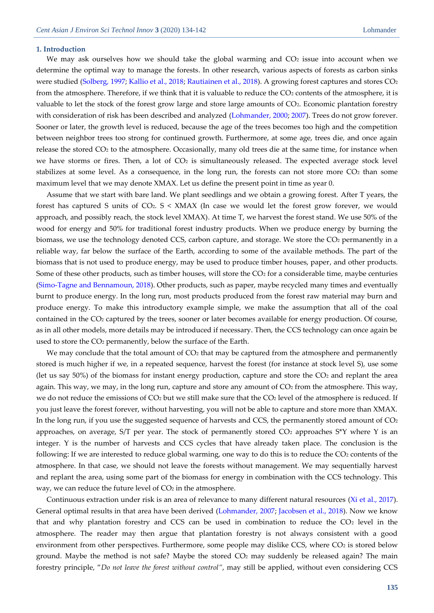#### **1. Introduction**

We may ask ourselves how we should take the global warming and CO<sub>2</sub> issue into account when we determine the optimal way to manage the forests. In other research, various aspects of forests as carbon sinks were studied [\(Solberg, 1997;](#page-8-0) [Kallio et al., 2018;](#page-7-0) [Rautiainen et al., 2018\)](#page-8-1). A growing forest captures and stores CO2 from the atmosphere. Therefore, if we think that it is valuable to reduce the CO<sub>2</sub> contents of the atmosphere, it is valuable to let the stock of the forest grow large and store large amounts of CO2. Economic plantation forestry with consideration of risk has been described and analyzed [\(Lohmander,](#page-7-1) 2000; [2007\)](#page-8-2). Trees do not grow forever. Sooner or later, the growth level is reduced, because the age of the trees becomes too high and the competition between neighbor trees too strong for continued growth. Furthermore, at some age, trees die, and once again release the stored CO<sup>2</sup> to the atmosphere. Occasionally, many old trees die at the same time, for instance when we have storms or fires. Then, a lot of  $CO<sub>2</sub>$  is simultaneously released. The expected average stock level stabilizes at some level. As a consequence, in the long run, the forests can not store more  $CO<sub>2</sub>$  than some maximum level that we may denote XMAX. Let us define the present point in time as year 0.

Assume that we start with bare land. We plant seedlings and we obtain a growing forest. After T years, the forest has captured S units of CO2. S < XMAX (In case we would let the forest grow forever, we would approach, and possibly reach, the stock level XMAX). At time T, we harvest the forest stand. We use 50% of the wood for energy and 50% for traditional forest industry products. When we produce energy by burning the biomass, we use the technology denoted CCS, carbon capture, and storage. We store the CO2 permanently in a reliable way, far below the surface of the Earth, according to some of the available methods. The part of the biomass that is not used to produce energy, may be used to produce timber houses, paper, and other products. Some of these other products, such as timber houses, will store the CO<sub>2</sub> for a considerable time, maybe centuries [\(Simo-Tagne and Bennamoun, 2018\)](#page-8-3). Other products, such as paper, maybe recycled many times and eventually burnt to produce energy. In the long run, most products produced from the forest raw material may burn and produce energy. To make this introductory example simple, we make the assumption that all of the coal contained in the CO<sup>2</sup> captured by the trees, sooner or later becomes available for energy production. Of course, as in all other models, more details may be introduced if necessary. Then, the CCS technology can once again be used to store the CO<sup>2</sup> permanently, below the surface of the Earth.

We may conclude that the total amount of  $CO<sub>2</sub>$  that may be captured from the atmosphere and permanently stored is much higher if we, in a repeated sequence, harvest the forest (for instance at stock level S), use some (let us say 50%) of the biomass for instant energy production, capture and store the  $CO<sub>2</sub>$  and replant the area again. This way, we may, in the long run, capture and store any amount of  $CO<sub>2</sub>$  from the atmosphere. This way, we do not reduce the emissions of CO<sup>2</sup> but we still make sure that the CO<sup>2</sup> level of the atmosphere is reduced. If you just leave the forest forever, without harvesting, you will not be able to capture and store more than XMAX. In the long run, if you use the suggested sequence of harvests and CCS, the permanently stored amount of CO<sub>2</sub> approaches, on average,  $S/T$  per year. The stock of permanently stored  $CO<sub>2</sub>$  approaches  $S<sup>*</sup>Y$  where Y is an integer. Y is the number of harvests and CCS cycles that have already taken place. The conclusion is the following: If we are interested to reduce global warming, one way to do this is to reduce the  $CO<sub>2</sub>$  contents of the atmosphere. In that case, we should not leave the forests without management. We may sequentially harvest and replant the area, using some part of the biomass for energy in combination with the CCS technology. This way, we can reduce the future level of CO2 in the atmosphere.

Continuous extraction under risk is an area of relevance to many different natural resources [\(Xi et al., 2017\)](#page-8-4). General optimal results in that area have been derived [\(Lohmander, 2007;](#page-8-2) [Jacobsen et al., 2018\)](#page-7-2). Now we know that and why plantation forestry and CCS can be used in combination to reduce the  $CO<sub>2</sub>$  level in the atmosphere. The reader may then argue that plantation forestry is not always consistent with a good environment from other perspectives. Furthermore, some people may dislike CCS, where CO<sub>2</sub> is stored below ground. Maybe the method is not safe? Maybe the stored  $CO<sub>2</sub>$  may suddenly be released again? The main forestry principle, "*Do not leave the forest without control"*, may still be applied, without even considering CCS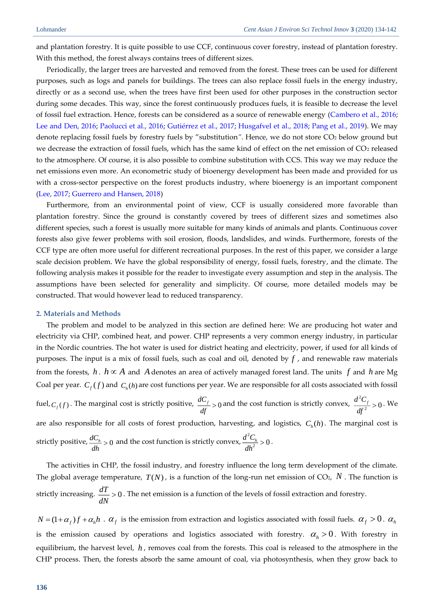and plantation forestry. It is quite possible to use CCF, continuous cover forestry, instead of plantation forestry. With this method, the forest always contains trees of different sizes.

Periodically, the larger trees are harvested and removed from the forest. These trees can be used for different purposes, such as logs and panels for buildings. The trees can also replace fossil fuels in the energy industry, directly or as a second use, when the trees have first been used for other purposes in the construction sector during some decades. This way, since the forest continuously produces fuels, it is feasible to decrease the level of fossil fuel extraction. Hence, forests can be considered as a source of renewable energy [\(Cambero et al., 2016;](#page-7-3) [Lee and Den, 2016;](#page-7-4) [Paolucci et al., 2016;](#page-8-5) [Gutiérrez et al., 2017;](#page-7-5) [Husgafvel et al., 2018;](#page-7-6) [Pang et al., 2019\)](#page-8-6). We may denote replacing fossil fuels by forestry fuels by "substitution*"*. Hence, we do not store CO<sup>2</sup> below ground but we decrease the extraction of fossil fuels, which has the same kind of effect on the net emission of CO<sub>2</sub> released to the atmosphere. Of course, it is also possible to combine substitution with CCS. This way we may reduce the net emissions even more. An econometric study of bioenergy development has been made and provided for us with a cross-sector perspective on the forest products industry, where bioenergy is an important component [\(Lee, 2017;](#page-7-7) [Guerrero and Hansen, 2018\)](#page-7-8)

Furthermore, from an environmental point of view, CCF is usually considered more favorable than plantation forestry. Since the ground is constantly covered by trees of different sizes and sometimes also different species, such a forest is usually more suitable for many kinds of animals and plants. Continuous cover forests also give fewer problems with soil erosion, floods, landslides, and winds. Furthermore, forests of the CCF type are often more useful for different recreational purposes. In the rest of this paper, we consider a large scale decision problem. We have the global responsibility of energy, fossil fuels, forestry, and the climate. The following analysis makes it possible for the reader to investigate every assumption and step in the analysis. The assumptions have been selected for generality and simplicity. Of course, more detailed models may be constructed. That would however lead to reduced transparency.

#### **2. Materials and Methods**

The problem and model to be analyzed in this section are defined here: We are producing hot water and electricity via CHP, combined heat, and power. CHP represents a very common energy industry, in particular in the Nordic countries. The hot water is used for district heating and electricity, power, if used for all kinds of purposes. The input is a mix of fossil fuels, such as coal and oil, denoted by *f* , and renewable raw materials from the forests,  $h$  .  $h \propto A$  and  $A$  denotes an area of actively managed forest land. The units  $f$  and  $h$  are Mg Coal per year.  $C_f(f)$  and  $C_h(h)$  are cost functions per year. We are responsible for all costs associated with fossil fuel,  $C_f(f)$ . The marginal cost is strictly positive,  $\frac{dC_f}{dC} > 0$  $\frac{dC_f}{dt}$  > 0 and the cost function is strictly convex,  $\frac{d^2C_f}{dt^2}$  $\frac{d^2C_f}{dr^2}>0$  $\frac{d^{2}y}{dt^{2}} > 0$ . We are also responsible for all costs of forest production, harvesting, and logistics,  $C_h(h)$ . The marginal cost is strictly positive,  $\frac{dC_h}{dt} > 0$  $\frac{dC_h}{dh} > 0$  and the cost function is strictly convex,  $\frac{d^2}{dh}$  $\frac{d^2C_h}{n^2}>0$  $\frac{d^{2}C_{h}}{dh^{2}} > 0.$ 

The activities in CHP, the fossil industry, and forestry influence the long term development of the climate. The global average temperature,  $T(N)$ , is a function of the long-run net emission of CO2,  $N$  . The function is strictly increasing.  $\frac{dT}{dt} > 0$  $\frac{dN}{dN}$  > 0. The net emission is a function of the levels of fossil extraction and forestry.

 $N = (1 + \alpha_f)f + \alpha_h h$ .  $\alpha_f$  is the emission from extraction and logistics associated with fossil fuels.  $\alpha_f > 0$ .  $\alpha_h$ is the emission caused by operations and logistics associated with forestry.  $\alpha_h > 0$ . With forestry in equilibrium, the harvest level, h, removes coal from the forests. This coal is released to the atmosphere in the CHP process. Then, the forests absorb the same amount of coal, via photosynthesis, when they grow back to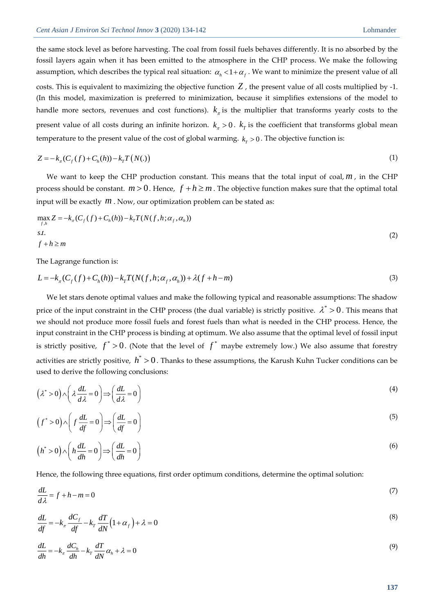the same stock level as before harvesting. The coal from fossil fuels behaves differently. It is no absorbed by the fossil layers again when it has been emitted to the atmosphere in the CHP process. We make the following assumption, which describes the typical real situation:  $\alpha_h < 1 + \alpha_f$ . We want to minimize the present value of all costs. This is equivalent to maximizing the objective function *Z* , the present value of all costs multiplied by -1. (In this model, maximization is preferred to minimization, because it simplifies extensions of the model to handle more sectors, revenues and cost functions).  $k_{\pi}$  is the multiplier that transforms yearly costs to the present value of all costs during an infinite horizon.  $k_\pi > 0$ .  $k_T$  is the coefficient that transforms global mean temperature to the present value of the cost of global warming.  $k_r > 0$ . The objective function is:

$$
Z = -k_{\pi}(C_f(f) + C_h(h)) - k_T T(N(.))
$$
\n(1)

We want to keep the CHP production constant. This means that the total input of coal, *m* , in the CHP process should be constant.  $m > 0$ . Hence,  $f + h \geq m$  . The objective function makes sure that the optimal total input will be exactly *<sup>m</sup>* . Now, our optimization problem can be stated as:

$$
\max_{\substack{f,h}} Z = -k_{\pi}(C_f(f) + C_h(h)) - k_{\pi}T(N(f,h;\alpha_f,\alpha_h))
$$
  
s.t.  

$$
f + h \ge m
$$
 (2)

The Lagrange function is:

$$
L = -k\pi(Cf(f) + Ch(h)) - kTT(N(f, h; \alphaf, \alphah)) + \lambda(f + h - m)
$$
\n(3)

We let stars denote optimal values and make the following typical and reasonable assumptions: The shadow price of the input constraint in the CHP process (the dual variable) is strictly positive.  $\lambda^*$  > 0. This means that we should not produce more fossil fuels and forest fuels than what is needed in the CHP process. Hence, the input constraint in the CHP process is binding at optimum. We also assume that the optimal level of fossil input is strictly positive,  $f^* > 0$ . (Note that the level of  $f^*$  maybe extremely low.) We also assume that forestry activities are strictly positive,  $h^{\ast} > 0$  . Thanks to these assumptions, the Karush Kuhn Tucker conditions can be used to derive the following conclusions:

$$
(\lambda^* > 0) \wedge \left(\lambda \frac{dL}{d\lambda} = 0\right) \Longrightarrow \left(\frac{dL}{d\lambda} = 0\right)
$$
\n(4)

$$
(f^* > 0) \wedge \left(f \frac{dL}{df} = 0\right) \Longrightarrow \left(\frac{dL}{df} = 0\right)
$$
\n<sup>(5)</sup>

$$
(h^* > 0) \wedge \left(h\frac{dL}{dh} = 0\right) \Longrightarrow \left(\frac{dL}{dh} = 0\right)
$$
\n<sup>(6)</sup>

Hence, the following three equations, first order optimum conditions, determine the optimal solution:

$$
\frac{dL}{d\lambda} = f + h - m = 0\tag{7}
$$

$$
\frac{dL}{df} = -k_{\pi} \frac{dC_f}{df} - k_{T} \frac{dT}{dN} \left( 1 + \alpha_f \right) + \lambda = 0
$$
\n(8)

$$
\frac{dL}{dh} = -k_{\pi} \frac{dC_h}{dh} - k_{\tau} \frac{dT}{dN} \alpha_h + \lambda = 0
$$
\n(9)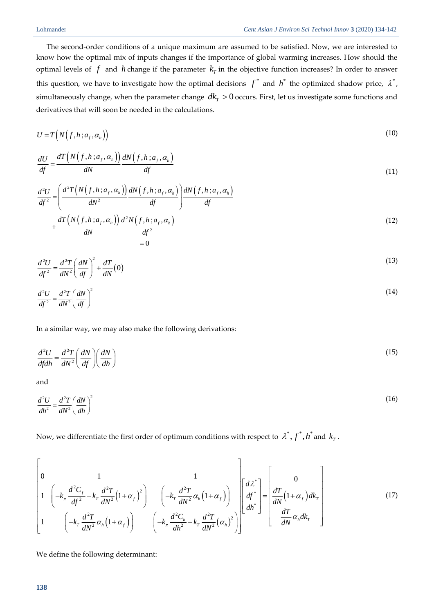The second-order conditions of a unique maximum are assumed to be satisfied. Now, we are interested to know how the optimal mix of inputs changes if the importance of global warming increases. How should the optimal levels of  $f$  and  $h$  change if the parameter  $k<sub>T</sub>$  in the objective function increases? In order to answer this question, we have to investigate how the optimal decisions  $f^*$  and  $h^*$  the optimized shadow price,  $\lambda^*$ , simultaneously change, when the parameter change  $dk_{_{T}} > 0$  occurs. First, let us investigate some functions and derivatives that will soon be needed in the calculations.

$$
U = T\left(N\left(f, h \,; a_f, \alpha_h\right)\right) \tag{10}
$$

$$
\frac{dU}{df} = \frac{dT\left(N\left(f, h; a_f, \alpha_h\right)\right)}{dN} \frac{dN\left(f, h; a_f, \alpha_h\right)}{df}
$$
\n(11)

$$
\frac{d^2U}{df^2} = \left(\frac{d^2T\left(N\left(f, h; a_f, \alpha_h\right)\right)}{dN^2}\frac{dN\left(f, h; a_f, \alpha_h\right)}{df}\right)\frac{dN\left(f, h; a_f, \alpha_h\right)}{df} + \frac{dT\left(N\left(f, h; a_f, \alpha_h\right)\right)}{dN}\frac{d^2N\left(f, h; a_f, \alpha_h\right)}{df^2}\n\tag{12}
$$

$$
= 0
$$

$$
\frac{d^2U}{df^2} = \frac{d^2T}{dN^2} \left(\frac{dN}{df}\right)^2 + \frac{dT}{dN}(0)
$$
\n(13)

$$
\frac{d^2U}{df^2} = \frac{d^2T}{dN^2} \left(\frac{dN}{df}\right)^2\tag{14}
$$

In a similar way, we may also make the following derivations:

$$
\frac{d^2U}{dfdh} = \frac{d^2T}{dN^2} \left(\frac{dN}{df}\right) \left(\frac{dN}{dh}\right)
$$
\n(15)

and

$$
\frac{d^2U}{dh^2} = \frac{d^2T}{dN^2} \left(\frac{dN}{dh}\right)^2\tag{16}
$$

Now, we differentiate the first order of optimum conditions with respect to  $\lambda^*,f^*,h^*$  and  $k_{_{T}}$  .

$$
\begin{bmatrix}\n0 & 1 & 1 \\
1 & \left(-k_{\pi} \frac{d^2 C_f}{df^2} - k_T \frac{d^2 T}{dN^2} (1 + \alpha_f)^2\right) & \left(-k_T \frac{d^2 T}{dN^2} \alpha_h (1 + \alpha_f)\right) \\
1 & \left(-k_T \frac{d^2 T}{dN^2} \alpha_h (1 + \alpha_f)\right) & \left(-k_{\pi} \frac{d^2 C_h}{dR^2} - k_T \frac{d^2 T}{dN^2} (\alpha_h)^2\right)\n\end{bmatrix}\n\begin{bmatrix}\nd\lambda^* \\
d\mu^* \\
d\lambda^*\n\end{bmatrix} = \begin{bmatrix}\n0 \\
\frac{dT}{dN} (1 + \alpha_f) d k_T \\
\frac{dT}{dN} \alpha_h d k_T\n\end{bmatrix}
$$
\n(17)

We define the following determinant: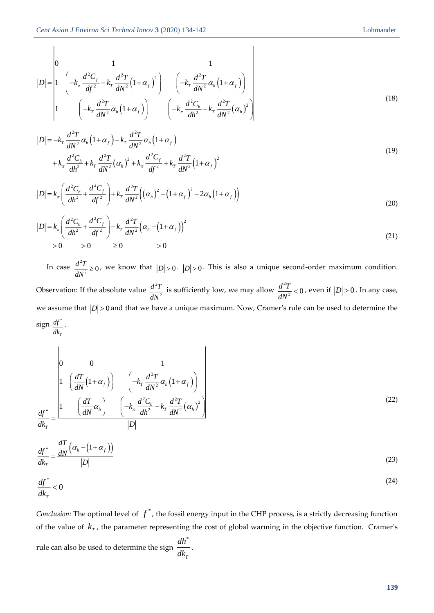$$
|D| = \begin{vmatrix} 0 & 1 & 1 \\ 1 & \left( -k_{\pi} \frac{d^2 C_f}{df^2} - k_T \frac{d^2 T}{dN^2} (1 + \alpha_f)^2 \right) & \left( -k_T \frac{d^2 T}{dN^2} \alpha_h (1 + \alpha_f) \right) \\ 1 & \left( -k_T \frac{d^2 T}{dN^2} \alpha_h (1 + \alpha_f) \right) & \left( -k_{\pi} \frac{d^2 C_h}{dN^2} - k_T \frac{d^2 T}{dN^2} (\alpha_h)^2 \right) \end{vmatrix}
$$
(18)

 $\overline{\phantom{a}}$ 

$$
|D| = -k_r \frac{d^2 T}{dN^2} \alpha_h (1 + \alpha_f) - k_r \frac{d^2 T}{dN^2} \alpha_h (1 + \alpha_f)
$$
  
+  $k_\pi \frac{d^2 C_h}{d h^2} + k_r \frac{d^2 T}{dN^2} (\alpha_h)^2 + k_\pi \frac{d^2 C_f}{d f^2} + k_r \frac{d^2 T}{d N^2} (1 + \alpha_f)^2$  (19)

$$
|D| = k_{\pi} \left( \frac{d^2 C_h}{dh^2} + \frac{d^2 C_f}{df^2} \right) + k_{\pi} \frac{d^2 T}{dN^2} \Big( (\alpha_h)^2 + (1 + \alpha_f)^2 - 2\alpha_h (1 + \alpha_f) \Big)
$$
(20)

$$
|D| = k_{\pi} \left( \frac{d^2 C_h}{dh^2} + \frac{d^2 C_f}{df^2} \right) + k_{T} \frac{d^2 T}{dN^2} \left( \alpha_h - (1 + \alpha_f) \right)^2
$$
  
> 0 > 0 > 0  $\ge 0$  > 0  $\ge 0$  (21)

In case  $\frac{d^2}{dx^2}$  $\frac{d^2T}{dt^2} \geq 0$  $\frac{d^{2} L}{dN^{2}} \ge 0$ , we know that  $|D| > 0$ .  $|D| > 0$ . This is also a unique second-order maximum condition. Observation: If the absolute value  $\frac{d^2}{dx^2}$ 2 *d T*  $rac{d^2T}{dN^2}$  is sufficiently low, we may allow  $rac{d^2T}{dN}$  $\frac{d^2T}{dt^2}<0$  $\frac{d^{2} P}{dN^{2}}$  < 0, even if  $|D|$  > 0. In any case, we assume that  $|D|$  > 0 and that we have a unique maximum. Now, Cramer's rule can be used to determine the  $\operatorname{sign} \frac{df^*}{dt}$ *T df dk* .

$$
|D| = \begin{vmatrix} 1 & \frac{1}{2}x_{1} - \frac{1}{2}x_{2} - \frac{1}{2}x_{1} - \frac{1}{2}x_{2} - \frac{1}{2}x_{1} - \frac{1}{2}x_{2} - \frac{1}{2}x_{2} - \frac{1}{2}x_{2} - \frac{1}{2}x_{2} - \frac{1}{2}x_{2} - \frac{1}{2}x_{2} - \frac{1}{2}x_{2} - \frac{1}{2}x_{2} - \frac{1}{2}x_{2} - \frac{1}{2}x_{2} - \frac{1}{2}x_{2} - \frac{1}{2}x_{2} - \frac{1}{2}x_{2} - \frac{1}{2}x_{2} - \frac{1}{2}x_{2} - \frac{1}{2}x_{2} - \frac{1}{2}x_{2} - \frac{1}{2}x_{2} - \frac{1}{2}x_{2} - \frac{1}{2}x_{2} - \frac{1}{2}x_{2} - \frac{1}{2}x_{2} - \frac{1}{2}x_{2} - \frac{1}{2}x_{2} - \frac{1}{2}x_{2} - \frac{1}{2}x_{2} - \frac{1}{2}x_{2} - \frac{1}{2}x_{2} - \frac{1}{2}x_{2} - \frac{1}{2}x_{2} - \frac{1}{2}x_{2} - \frac{1}{2}x_{2} - \frac{1}{2}x_{2} - \frac{1}{2}x_{2} - \frac{1}{2}x_{2} - \frac{1}{2}x_{2} - \frac{1}{2}x_{2} - \frac{1}{2}x_{2} - \frac{1}{2}x_{2} - \frac{1}{2}x_{2} - \frac{1}{2}x_{2} - \frac{1}{2}x_{2} - \frac{1}{2}x_{2} - \frac{1}{2}x_{2} - \frac{1}{2}x_{2} - \frac{1}{2}x_{2} - \frac{1}{2}x_{2} - \frac{1}{2}x_{2} - \frac{1}{2}x_{2} - \frac{1}{2}x_{2} - \frac{1}{2}x_{2} - \frac{1}{2}x_{2} - \frac{1}{2}x_{2} - \frac{1}{2}x_{2} - \frac{1}{2}x_{2} - \frac{1}{2}x_{2} - \frac{1}{2}x_{2} -
$$

$$
\frac{df^*}{dk_\tau} = \frac{\frac{dT}{dN} \left( \alpha_h - \left( 1 + \alpha_f \right) \right)}{|D|} \tag{23}
$$

$$
\frac{df^*}{dk_\tau} < 0\tag{24}
$$

*Conclusion:* The optimal level of  $f^*$ , the fossil energy input in the CHP process, is a strictly decreasing function of the value of  $k<sub>T</sub>$ , the parameter representing the cost of global warming in the objective function. Cramer's rule can also be used to determine the sign \* *T dh dk* .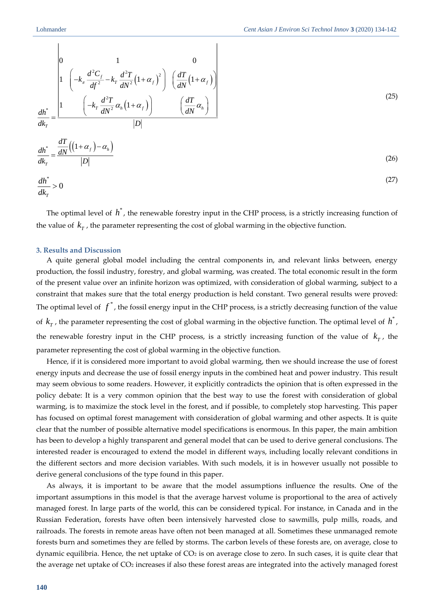$\overline{1}$ 

$$
\int_{0}^{1} \frac{d^{2}C_{f}}{dt^{2}} - k_{f} \frac{d^{2}T}{dN^{2}} (1 + a_{f}) \int_{0}^{1} \frac{dT}{dN} (1 + a_{f})
$$
\n
$$
\frac{d\hbar}{d\hbar^{2}} = \frac{1}{\sqrt{N^{2}} \left( (1 + a_{f}) \right)}
$$
\n
$$
\frac{d\hbar}{d\hbar^{2}} = \frac{1}{\sqrt{N^{2}}} \left( \frac{d^{2}T}{d\hbar^{2}} \left( 1 + a_{f} \right) \right)
$$
\n
$$
\frac{d\hbar}{d\hbar^{2}} = \frac{d\hbar}{d\hbar^{2}} \left( (1 + a_{f}) - a_{h} \right)
$$
\n
$$
\frac{d\hbar}{d\hbar^{2}} = \frac{d\hbar}{d\hbar^{2}} \left( (1 + a_{f}) - a_{h} \right)
$$
\n
$$
\frac{d\hbar}{d\hbar^{2}} = 0
$$
\n
$$
\frac{d\hbar}{d\hbar^{2}} = 0
$$
\nThe optimal level of  $\hbar^{2}$ , the prenewable forestry input in the CHP process, is a strictly increasing function of the value of  $k_{f}$ , the parameter representing the cost of global warming in the objective function. The result includes and Dissension  
\nA quite general global model including the central components in, and relevant links between, energy production, the fossil energy of the present value over an infinite horizon was optimized, with consideration of global warming, subject to a constraint that makes sure that the total energy production is held constant. Two general results were proved: The optimal level of  $f^{2}$ , the forward is the convex, in the GHP process, is a strictly increasing function of the value of  $k_{f}$ , the parameter representing the cost of global warming in the objective function. The optimal level of  $\hbar^{2}$ , the same number of possible and the result of the data. The process is a strictly increasing function of the value of  $k_{f}$ , the result is considered more important to avoid global warning, then we should increase the use of forest and the forest, and if possible to take a flow of individual to the same of the same. This result is not possible to solve the first, the final time of the total time for the total time. The total time is not a the time of the total time, the total time is not a the time, the total time is not a time, the total time is not a time, the total time is not a time, the total time is not a time, the total time is not a time, the total time is not a time, the total time is not a time, the total time is not a time, the total time is a time, the total time is a time, the total time is a time, the

 $\overline{1}$ 

The optimal level of  $h^*$ , the renewable forestry input in the CHP process, is a strictly increasing function of the value of  $k_T$ , the parameter representing the cost of global warming in the objective function.

## **3. Results and Discussion**

A quite general global model including the central components in, and relevant links between, energy production, the fossil industry, forestry, and global warming, was created. The total economic result in the form of the present value over an infinite horizon was optimized, with consideration of global warming, subject to a constraint that makes sure that the total energy production is held constant. Two general results were proved: The optimal level of  $f^*$ , the fossil energy input in the CHP process, is a strictly decreasing function of the value of  $k_T$ , the parameter representing the cost of global warming in the objective function. The optimal level of  $h^*$ , the renewable forestry input in the CHP process, is a strictly increasing function of the value of  $k_T$ , the parameter representing the cost of global warming in the objective function.

Hence, if it is considered more important to avoid global warming, then we should increase the use of forest energy inputs and decrease the use of fossil energy inputs in the combined heat and power industry. This result may seem obvious to some readers. However, it explicitly contradicts the opinion that is often expressed in the policy debate: It is a very common opinion that the best way to use the forest with consideration of global warming, is to maximize the stock level in the forest, and if possible, to completely stop harvesting. This paper has focused on optimal forest management with consideration of global warming and other aspects. It is quite clear that the number of possible alternative model specifications is enormous. In this paper, the main ambition has been to develop a highly transparent and general model that can be used to derive general conclusions. The interested reader is encouraged to extend the model in different ways, including locally relevant conditions in the different sectors and more decision variables. With such models, it is in however usually not possible to derive general conclusions of the type found in this paper.

As always, it is important to be aware that the model assumptions influence the results. One of the important assumptions in this model is that the average harvest volume is proportional to the area of actively managed forest. In large parts of the world, this can be considered typical. For instance, in Canada and in the Russian Federation, forests have often been intensively harvested close to sawmills, pulp mills, roads, and railroads. The forests in remote areas have often not been managed at all. Sometimes these unmanaged remote forests burn and sometimes they are felled by storms. The carbon levels of these forests are, on average, close to dynamic equilibria. Hence, the net uptake of  $CO<sub>2</sub>$  is on average close to zero. In such cases, it is quite clear that the average net uptake of CO<sup>2</sup> increases if also these forest areas are integrated into the actively managed forest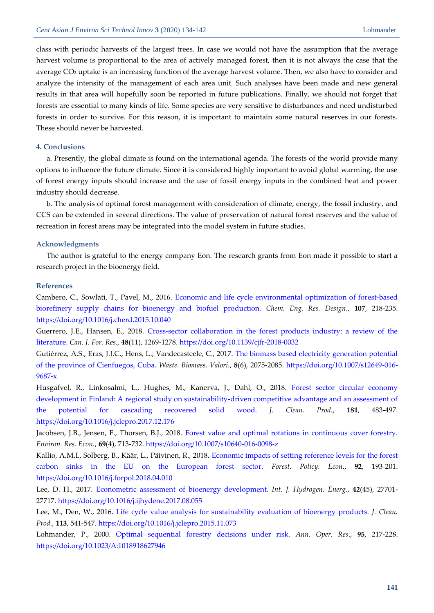class with periodic harvests of the largest trees. In case we would not have the assumption that the average harvest volume is proportional to the area of actively managed forest, then it is not always the case that the average CO<sup>2</sup> uptake is an increasing function of the average harvest volume. Then, we also have to consider and analyze the intensity of the management of each area unit. Such analyses have been made and new general results in that area will hopefully soon be reported in future publications. Finally, we should not forget that forests are essential to many kinds of life. Some species are very sensitive to disturbances and need undisturbed forests in order to survive. For this reason, it is important to maintain some natural reserves in our forests. These should never be harvested.

## **4. Conclusions**

a. Presently, the global climate is found on the international agenda. The forests of the world provide many options to influence the future climate. Since it is considered highly important to avoid global warming, the use of forest energy inputs should increase and the use of fossil energy inputs in the combined heat and power industry should decrease.

b. The analysis of optimal forest management with consideration of climate, energy, the fossil industry, and CCS can be extended in several directions. The value of preservation of natural forest reserves and the value of recreation in forest areas may be integrated into the model system in future studies.

#### **Acknowledgments**

The author is grateful to the energy company Eon. The research grants from Eon made it possible to start a research project in the bioenergy field.

#### **References**

<span id="page-7-3"></span>Cambero, C., Sowlati, T., Pavel, M., 2016. [Economic and life cycle environmental optimization of forest-based](http://freepaper.me/PDF/?pdfURL=aHR0cHM6Ly9mcmVlcGFwZXIubWUvbi9TYzl6cjRRMVpfeUF6WXh1Q1RyOEtnL1BERi82Ni82NmYxNjQ0YzFmMTMyOGMzMDA5N2NlZmU5ZmVmNWFmNC5wZGY=&doi=10.1016/j.cherd.2015.10.040)  [biorefinery supply chains for bioenergy and biofuel production.](http://freepaper.me/PDF/?pdfURL=aHR0cHM6Ly9mcmVlcGFwZXIubWUvbi9TYzl6cjRRMVpfeUF6WXh1Q1RyOEtnL1BERi82Ni82NmYxNjQ0YzFmMTMyOGMzMDA5N2NlZmU5ZmVmNWFmNC5wZGY=&doi=10.1016/j.cherd.2015.10.040) *Chem. Eng. Res. Design*., **107**, 218-235. <https://doi.org/10.1016/j.cherd.2015.10.040>

<span id="page-7-8"></span>Guerrero, J.E., Hansen, E., 2018. [Cross-sector collaboration in the forest products industry: a review of the](file:///D:/اطلاعات%20دکتر%20عبادی/Dr-Ebadi/Site%20Information/مقالات%20سایت%20cas-press/Environment/Issue%20-%203/Peter%20Lohmander/pdfs.semanticscholar.org/eefd/38197c8bbe35a24ad678003d70e00cce72ff.pdf)  [literature.](file:///D:/اطلاعات%20دکتر%20عبادی/Dr-Ebadi/Site%20Information/مقالات%20سایت%20cas-press/Environment/Issue%20-%203/Peter%20Lohmander/pdfs.semanticscholar.org/eefd/38197c8bbe35a24ad678003d70e00cce72ff.pdf) *Can. J. For. Res.*, **48**(11), 1269-1278.<https://doi.org/10.1139/cjfr-2018-0032>

<span id="page-7-5"></span>Gutiérrez, A.S., Eras, J.J.C., Hens, L., Vandecasteele, C., 2017. [The biomass based electricity generation potential](https://repositorio.cuc.edu.co/bitstream/11323/1750/1/The%20biomass%20based%20electricity%20generation%20potential%20of%20the%20Province%20of%20Cienfuegos%2c%20Cuba.pdf)  [of the province of Cienfuegos, Cuba.](https://repositorio.cuc.edu.co/bitstream/11323/1750/1/The%20biomass%20based%20electricity%20generation%20potential%20of%20the%20Province%20of%20Cienfuegos%2c%20Cuba.pdf) *Waste. Biomass. Valori.*, **8**(6), 2075-2085. [https://doi.org/10.1007/s12649-016-](https://doi.org/10.1007/s12649-016-9687-x) [9687-x](https://doi.org/10.1007/s12649-016-9687-x)

<span id="page-7-6"></span>Husgafvel, R., Linkosalmi, L., Hughes, M., Kanerva, J., Dahl, O., 2018. [Forest sector circular economy](http://freepaper.me/PDF/?pdfURL=aHR0cHM6Ly9mcmVlcGFwZXIubWUvbi9Samg2RlJNWXdzM0F0c3c2bk5vUTVBL1BERi83Ny83NzM1YjJiMzdiZGJjM2VlNGFiMjdjZTViZGY2YTUzMi5wZGY=&doi=10.1016/j.jclepro.2017.12.176)  [development in Finland: A regional study on sustainability-driven competitive advantage and an assessment of](http://freepaper.me/PDF/?pdfURL=aHR0cHM6Ly9mcmVlcGFwZXIubWUvbi9Samg2RlJNWXdzM0F0c3c2bk5vUTVBL1BERi83Ny83NzM1YjJiMzdiZGJjM2VlNGFiMjdjZTViZGY2YTUzMi5wZGY=&doi=10.1016/j.jclepro.2017.12.176)  [the potential for cascading recovered solid wood.](http://freepaper.me/PDF/?pdfURL=aHR0cHM6Ly9mcmVlcGFwZXIubWUvbi9Samg2RlJNWXdzM0F0c3c2bk5vUTVBL1BERi83Ny83NzM1YjJiMzdiZGJjM2VlNGFiMjdjZTViZGY2YTUzMi5wZGY=&doi=10.1016/j.jclepro.2017.12.176) *J. Clean. Prod.*, **181**, 483-497. <https://doi.org/10.1016/j.jclepro.2017.12.176>

<span id="page-7-2"></span>Jacobsen, J.B., Jensen, F., Thorsen, B.J., 2018. [Forest value and optimal rotations in continuous cover forestry.](file:///D:/اطلاعات%20دکتر%20عبادی/Dr-Ebadi/Site%20Information/مقالات%20سایت%20cas-press/Environment/Issue%20-%203/Peter%20Lohmander/okonomi.foi.dk/workingpapers/WPpdf/WP2015/IFRO_WP_2015_08.pdf) *Environ. Res. Econ.*, **69**(4), 713-732.<https://doi.org/10.1007/s10640-016-0098-z>

<span id="page-7-0"></span>Kallio, A.M.I., Solberg, B., Käär, L., Päivinen, R., 2018. [Economic impacts of setting reference levels for the forest](http://freepaper.me/PDF/?pdfURL=aHR0cHM6Ly9mcmVlcGFwZXIubWUvbi9nVEU0a1hWa3FHSmFudlVocjYxU0xnL1BERi81Yi81YmY5Y2Q0ZGY0Y2ZiODZhYmZhYzkxMTczYTA0MGFkMy5wZGY=&doi=10.1016/j.forpol.2018.04.010)  [carbon sinks in the EU on the European forest sector.](http://freepaper.me/PDF/?pdfURL=aHR0cHM6Ly9mcmVlcGFwZXIubWUvbi9nVEU0a1hWa3FHSmFudlVocjYxU0xnL1BERi81Yi81YmY5Y2Q0ZGY0Y2ZiODZhYmZhYzkxMTczYTA0MGFkMy5wZGY=&doi=10.1016/j.forpol.2018.04.010) *Forest. Policy. Econ.*, **92**, 193-201. <https://doi.org/10.1016/j.forpol.2018.04.010>

<span id="page-7-7"></span>Lee, D. H., 2017. [Econometric assessment of](http://freepaper.me/PDF/?pdfURL=aHR0cHM6Ly9mcmVlcGFwZXIubWUvbi9mdExtbHNIMW54ZWFKVGJDM3F3dWtnL1BERi9jZS9jZTVmNGMwNDFlNDljYjhjMTU3ZDg0ZTdmMDMwMzkxOC5wZGY=&doi=10.1016/j.ijhydene.2017.08.055) bioenergy development. *Int. J. Hydrogen. Energ.*, **42**(45), 27701- 27717[. https://doi.org/10.1016/j.ijhydene.2017.08.055](https://doi.org/10.1016/j.ijhydene.2017.08.055)

<span id="page-7-4"></span>Lee, M., Den, W., 2016. [Life cycle value analysis for sustainability evaluation of bioenergy products.](http://freepaper.me/PDF/?pdfURL=aHR0cHM6Ly9mcmVlcGFwZXIubWUvbi9kX0UxOVU5d296aTZmN2xGZlN5Y1dBL1BERi80ZC80ZDVmYWE1YTI0ZGI3NDg4MjRmOWZhNDZiZGRjMDFjNS5wZGY=&doi=10.1016/j.jclepro.2015.11.073) *J. Clean. Prod.*, **113**, 541-547.<https://doi.org/10.1016/j.jclepro.2015.11.073>

<span id="page-7-1"></span>Lohmander, P., 2000. [Optimal sequential forestry decisions under risk.](http://freepaper.me/PDF/?pdfURL=aHR0cHM6Ly9kYWNlbWlycm9yLnNjaS1odWIudHcvam91cm5hbC1hcnRpY2xlLzRhNDY5MTM2NmVmZmE5ODA2ZGMwYjBkZDc2NzM4ODZmL2xvaG1hbmRlcjIwMDAucGRmI3ZpZXc9Rml0SA==&doi=10.1023/A:1018918627946) *Ann. Oper. Res*., **95**, 217-228. <https://doi.org/10.1023/A:1018918627946>